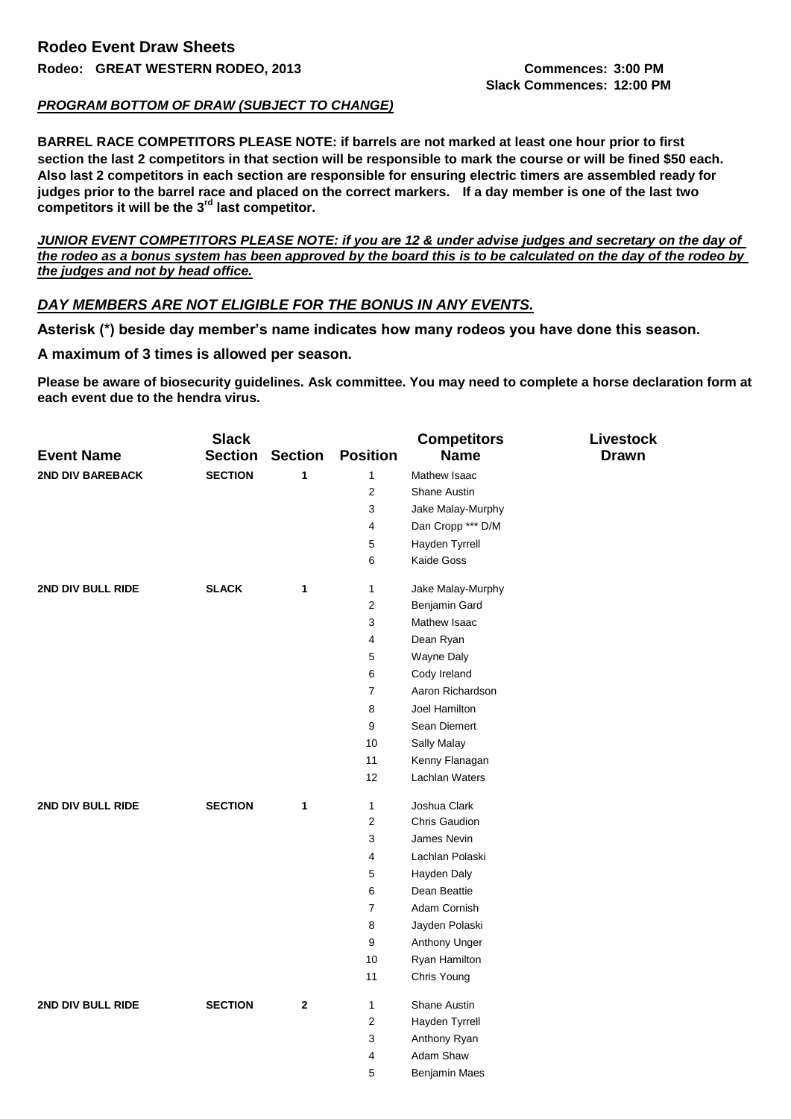## *PROGRAM BOTTOM OF DRAW (SUBJECT TO CHANGE)*

**BARREL RACE COMPETITORS PLEASE NOTE: if barrels are not marked at least one hour prior to first section the last 2 competitors in that section will be responsible to mark the course or will be fined \$50 each. Also last 2 competitors in each section are responsible for ensuring electric timers are assembled ready for judges prior to the barrel race and placed on the correct markers. If a day member is one of the last two competitors it will be the 3rd last competitor.**

*JUNIOR EVENT COMPETITORS PLEASE NOTE: if you are 12 & under advise judges and secretary on the day of the rodeo as a bonus system has been approved by the board this is to be calculated on the day of the rodeo by the judges and not by head office.*

## *DAY MEMBERS ARE NOT ELIGIBLE FOR THE BONUS IN ANY EVENTS.*

**Asterisk (\*) beside day member's name indicates how many rodeos you have done this season.** 

## **A maximum of 3 times is allowed per season.**

**Please be aware of biosecurity guidelines. Ask committee. You may need to complete a horse declaration form at each event due to the hendra virus.**

|                         | <b>Slack</b>   |                |                         | <b>Competitors</b>    | <b>Livestock</b> |
|-------------------------|----------------|----------------|-------------------------|-----------------------|------------------|
| <b>Event Name</b>       | <b>Section</b> | <b>Section</b> | <b>Position</b>         | <b>Name</b>           | <b>Drawn</b>     |
| <b>2ND DIV BAREBACK</b> | <b>SECTION</b> | 1              | $\mathbf{1}$            | Mathew Isaac          |                  |
|                         |                |                | $\overline{2}$          | <b>Shane Austin</b>   |                  |
|                         |                |                | 3                       | Jake Malay-Murphy     |                  |
|                         |                |                | 4                       | Dan Cropp *** D/M     |                  |
|                         |                |                | $\,$ 5 $\,$             | Hayden Tyrrell        |                  |
|                         |                |                | $\,6\,$                 | Kaide Goss            |                  |
| 2ND DIV BULL RIDE       | <b>SLACK</b>   | 1              | $\mathbf{1}$            | Jake Malay-Murphy     |                  |
|                         |                |                | $\sqrt{2}$              | Benjamin Gard         |                  |
|                         |                |                | 3                       | Mathew Isaac          |                  |
|                         |                |                | 4                       | Dean Ryan             |                  |
|                         |                |                | 5                       | Wayne Daly            |                  |
|                         |                |                | 6                       | Cody Ireland          |                  |
|                         |                |                | $\overline{7}$          | Aaron Richardson      |                  |
|                         |                |                | 8                       | Joel Hamilton         |                  |
|                         |                |                | 9                       | Sean Diemert          |                  |
|                         |                |                | 10                      | Sally Malay           |                  |
|                         |                |                | 11                      | Kenny Flanagan        |                  |
|                         |                |                | 12                      | <b>Lachlan Waters</b> |                  |
| 2ND DIV BULL RIDE       | <b>SECTION</b> | 1              | $\mathbf{1}$            | Joshua Clark          |                  |
|                         |                |                | $\sqrt{2}$              | Chris Gaudion         |                  |
|                         |                |                | 3                       | James Nevin           |                  |
|                         |                |                | $\overline{\mathbf{4}}$ | Lachlan Polaski       |                  |
|                         |                |                | 5                       | Hayden Daly           |                  |
|                         |                |                | 6                       | Dean Beattie          |                  |
|                         |                |                | $\overline{7}$          | Adam Cornish          |                  |
|                         |                |                | 8                       | Jayden Polaski        |                  |
|                         |                |                | 9                       | Anthony Unger         |                  |
|                         |                |                | 10                      | Ryan Hamilton         |                  |
|                         |                |                | 11                      | Chris Young           |                  |
| 2ND DIV BULL RIDE       | <b>SECTION</b> | $\mathbf{2}$   | 1                       | Shane Austin          |                  |
|                         |                |                | $\sqrt{2}$              | Hayden Tyrrell        |                  |
|                         |                |                | $\sqrt{3}$              | Anthony Ryan          |                  |
|                         |                |                | 4                       | Adam Shaw             |                  |
|                         |                |                | 5                       | Benjamin Maes         |                  |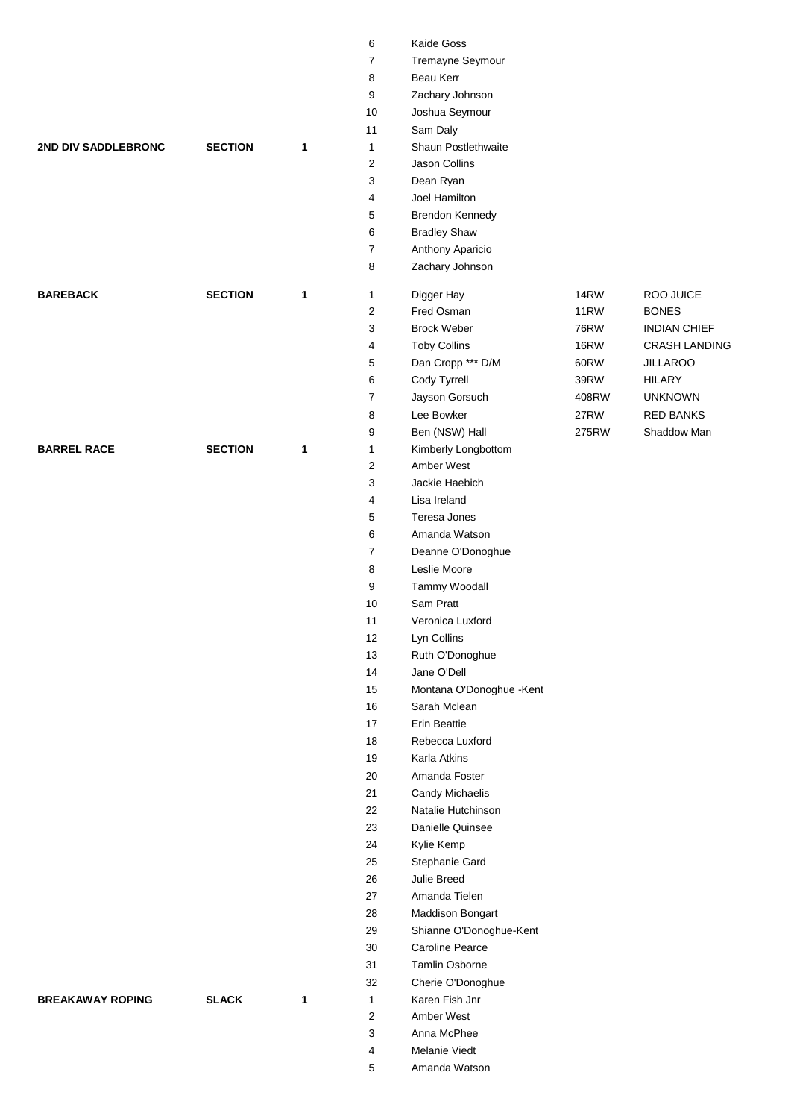|                            |                |   | 6                       | Kaide Goss               |             |                      |
|----------------------------|----------------|---|-------------------------|--------------------------|-------------|----------------------|
|                            |                |   | $\overline{7}$          | Tremayne Seymour         |             |                      |
|                            |                |   | 8                       | Beau Kerr                |             |                      |
|                            |                |   | 9                       | Zachary Johnson          |             |                      |
|                            |                |   | 10                      | Joshua Seymour           |             |                      |
|                            |                |   | 11                      | Sam Daly                 |             |                      |
| <b>2ND DIV SADDLEBRONC</b> | <b>SECTION</b> | 1 | 1                       | Shaun Postlethwaite      |             |                      |
|                            |                |   | $\overline{\mathbf{c}}$ | Jason Collins            |             |                      |
|                            |                |   | 3                       | Dean Ryan                |             |                      |
|                            |                |   | 4                       | Joel Hamilton            |             |                      |
|                            |                |   | 5                       | Brendon Kennedy          |             |                      |
|                            |                |   | 6                       | <b>Bradley Shaw</b>      |             |                      |
|                            |                |   | 7                       | Anthony Aparicio         |             |                      |
|                            |                |   | 8                       | Zachary Johnson          |             |                      |
| <b>BAREBACK</b>            | <b>SECTION</b> | 1 | $\mathbf{1}$            | Digger Hay               | 14RW        | ROO JUICE            |
|                            |                |   | 2                       | Fred Osman               | 11RW        | <b>BONES</b>         |
|                            |                |   | 3                       | <b>Brock Weber</b>       | <b>76RW</b> | <b>INDIAN CHIEF</b>  |
|                            |                |   | 4                       | <b>Toby Collins</b>      | <b>16RW</b> | <b>CRASH LANDING</b> |
|                            |                |   | 5                       | Dan Cropp *** D/M        | 60RW        | <b>JILLAROO</b>      |
|                            |                |   | 6                       | Cody Tyrrell             | 39RW        | <b>HILARY</b>        |
|                            |                |   | 7                       | Jayson Gorsuch           | 408RW       | <b>UNKNOWN</b>       |
|                            |                |   | 8                       | Lee Bowker               | 27RW        | <b>RED BANKS</b>     |
|                            |                |   | 9                       | Ben (NSW) Hall           | 275RW       | Shaddow Man          |
| <b>BARREL RACE</b>         | <b>SECTION</b> | 1 | 1                       | Kimberly Longbottom      |             |                      |
|                            |                |   | $\overline{\mathbf{c}}$ | Amber West               |             |                      |
|                            |                |   | 3                       | Jackie Haebich           |             |                      |
|                            |                |   | 4                       | Lisa Ireland             |             |                      |
|                            |                |   | 5                       | Teresa Jones             |             |                      |
|                            |                |   | 6                       | Amanda Watson            |             |                      |
|                            |                |   | $\overline{7}$          | Deanne O'Donoghue        |             |                      |
|                            |                |   | 8                       | Leslie Moore             |             |                      |
|                            |                |   | 9                       | Tammy Woodall            |             |                      |
|                            |                |   | 10                      | Sam Pratt                |             |                      |
|                            |                |   | 11                      | Veronica Luxford         |             |                      |
|                            |                |   | 12                      | Lyn Collins              |             |                      |
|                            |                |   | 13                      | Ruth O'Donoghue          |             |                      |
|                            |                |   | 14                      | Jane O'Dell              |             |                      |
|                            |                |   | 15                      | Montana O'Donoghue -Kent |             |                      |
|                            |                |   | 16                      | Sarah Mclean             |             |                      |
|                            |                |   | 17                      | <b>Erin Beattie</b>      |             |                      |
|                            |                |   | 18                      | Rebecca Luxford          |             |                      |
|                            |                |   | 19                      | Karla Atkins             |             |                      |
|                            |                |   | 20                      | Amanda Foster            |             |                      |
|                            |                |   | 21                      | Candy Michaelis          |             |                      |
|                            |                |   | 22                      | Natalie Hutchinson       |             |                      |
|                            |                |   | 23                      | Danielle Quinsee         |             |                      |
|                            |                |   | 24                      | Kylie Kemp               |             |                      |
|                            |                |   | 25                      | Stephanie Gard           |             |                      |
|                            |                |   | 26                      | Julie Breed              |             |                      |
|                            |                |   | 27                      | Amanda Tielen            |             |                      |
|                            |                |   | 28                      | Maddison Bongart         |             |                      |
|                            |                |   | 29                      | Shianne O'Donoghue-Kent  |             |                      |
|                            |                |   | 30                      | <b>Caroline Pearce</b>   |             |                      |
|                            |                |   | 31                      | Tamlin Osborne           |             |                      |
|                            |                |   | 32                      | Cherie O'Donoghue        |             |                      |
| <b>BREAKAWAY ROPING</b>    | <b>SLACK</b>   | 1 | $\mathbf{1}$            | Karen Fish Jnr           |             |                      |
|                            |                |   | 2                       | Amber West               |             |                      |
|                            |                |   | 3                       | Anna McPhee              |             |                      |
|                            |                |   | 4                       | Melanie Viedt            |             |                      |
|                            |                |   | 5                       | Amanda Watson            |             |                      |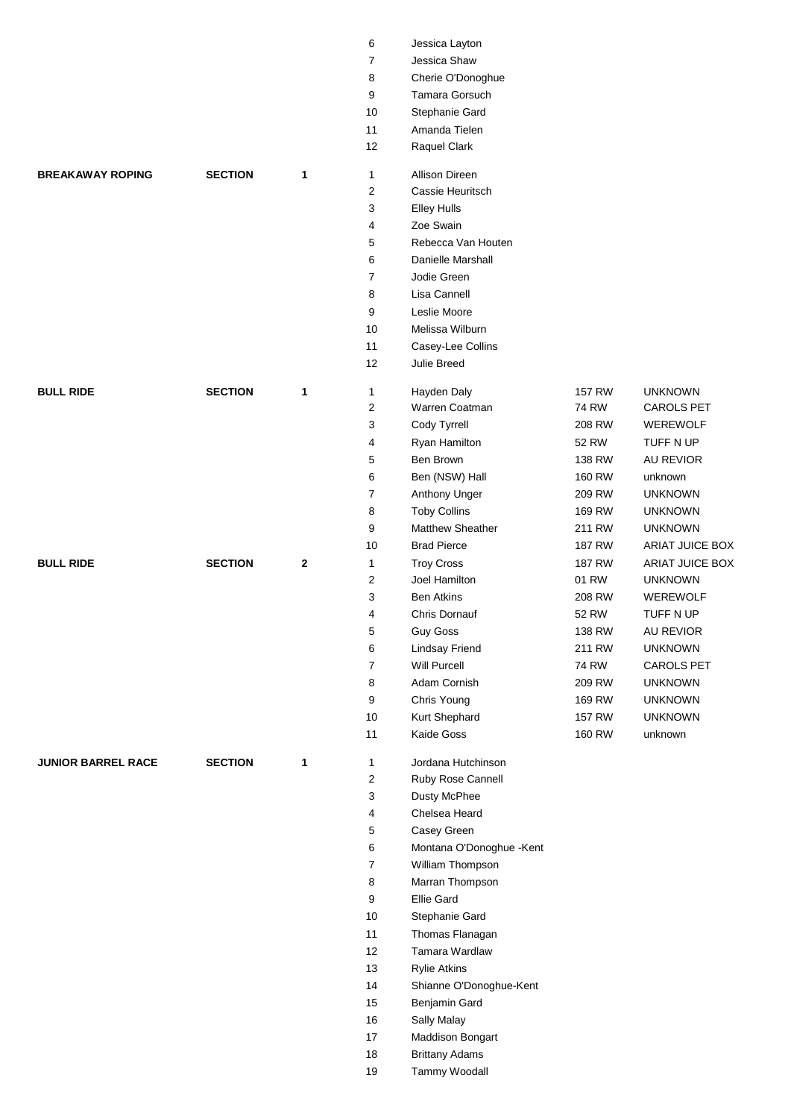|                           |                |   | 6        | Jessica Layton                                 |               |                   |
|---------------------------|----------------|---|----------|------------------------------------------------|---------------|-------------------|
|                           |                |   | 7        | Jessica Shaw                                   |               |                   |
|                           |                |   | 8        | Cherie O'Donoghue                              |               |                   |
|                           |                |   | 9        | Tamara Gorsuch                                 |               |                   |
|                           |                |   | 10       | Stephanie Gard                                 |               |                   |
|                           |                |   | 11       | Amanda Tielen                                  |               |                   |
|                           |                |   | 12       | Raquel Clark                                   |               |                   |
| <b>BREAKAWAY ROPING</b>   | <b>SECTION</b> | 1 | 1        | <b>Allison Direen</b>                          |               |                   |
|                           |                |   | 2        | Cassie Heuritsch                               |               |                   |
|                           |                |   | 3        | <b>Elley Hulls</b>                             |               |                   |
|                           |                |   | 4        | Zoe Swain                                      |               |                   |
|                           |                |   | 5        | Rebecca Van Houten                             |               |                   |
|                           |                |   | 6        | Danielle Marshall                              |               |                   |
|                           |                |   | 7        | Jodie Green                                    |               |                   |
|                           |                |   | 8        | Lisa Cannell                                   |               |                   |
|                           |                |   | 9        | Leslie Moore                                   |               |                   |
|                           |                |   | 10       | Melissa Wilburn                                |               |                   |
|                           |                |   | 11       | Casey-Lee Collins                              |               |                   |
|                           |                |   | 12       | Julie Breed                                    |               |                   |
| <b>BULL RIDE</b>          | <b>SECTION</b> | 1 | 1        | Hayden Daly                                    | 157 RW        | <b>UNKNOWN</b>    |
|                           |                |   | 2        | Warren Coatman                                 | <b>74 RW</b>  | CAROLS PET        |
|                           |                |   | 3        | Cody Tyrrell                                   | 208 RW        | <b>WEREWOLF</b>   |
|                           |                |   | 4        | Ryan Hamilton                                  | 52 RW         | TUFF N UP         |
|                           |                |   | 5        | Ben Brown                                      | 138 RW        | <b>AU REVIOR</b>  |
|                           |                |   | 6        | Ben (NSW) Hall                                 | 160 RW        | unknown           |
|                           |                |   | 7        | Anthony Unger                                  | 209 RW        | <b>UNKNOWN</b>    |
|                           |                |   | 8        | <b>Toby Collins</b>                            | 169 RW        | <b>UNKNOWN</b>    |
|                           |                |   | 9        | <b>Matthew Sheather</b>                        | 211 RW        | <b>UNKNOWN</b>    |
|                           |                |   | 10       | <b>Brad Pierce</b>                             | 187 RW        | ARIAT JUICE BOX   |
| <b>BULL RIDE</b>          | <b>SECTION</b> | 2 | 1        | <b>Troy Cross</b>                              | 187 RW        | ARIAT JUICE BOX   |
|                           |                |   | 2        | Joel Hamilton                                  | 01 RW         | <b>UNKNOWN</b>    |
|                           |                |   | 3        | <b>Ben Atkins</b>                              | 208 RW        | <b>WEREWOLF</b>   |
|                           |                |   | 4        | Chris Dornauf                                  | 52 RW         | TUFF N UP         |
|                           |                |   | 5        | <b>Guy Goss</b>                                | 138 RW        | AU REVIOR         |
|                           |                |   | 6        | Lindsay Friend                                 | 211 RW        | <b>UNKNOWN</b>    |
|                           |                |   | 7        | Will Purcell                                   | 74 RW         | <b>CAROLS PET</b> |
|                           |                |   | 8        | Adam Cornish                                   | 209 RW        | <b>UNKNOWN</b>    |
|                           |                |   | 9        | Chris Young                                    | 169 RW        | <b>UNKNOWN</b>    |
|                           |                |   | $10\,$   | Kurt Shephard                                  | <b>157 RW</b> | <b>UNKNOWN</b>    |
|                           |                |   | 11       | Kaide Goss                                     | 160 RW        | unknown           |
| <b>JUNIOR BARREL RACE</b> | <b>SECTION</b> | 1 | 1        | Jordana Hutchinson                             |               |                   |
|                           |                |   | 2        | Ruby Rose Cannell                              |               |                   |
|                           |                |   | 3        | Dusty McPhee                                   |               |                   |
|                           |                |   | 4        | Chelsea Heard                                  |               |                   |
|                           |                |   | 5        | Casey Green                                    |               |                   |
|                           |                |   | 6        | Montana O'Donoghue -Kent                       |               |                   |
|                           |                |   | 7        | William Thompson                               |               |                   |
|                           |                |   | 8        | Marran Thompson<br>Ellie Gard                  |               |                   |
|                           |                |   | 9        |                                                |               |                   |
|                           |                |   | 10       | Stephanie Gard                                 |               |                   |
|                           |                |   | 11       | Thomas Flanagan<br>Tamara Wardlaw              |               |                   |
|                           |                |   | 12<br>13 |                                                |               |                   |
|                           |                |   | 14       | <b>Rylie Atkins</b><br>Shianne O'Donoghue-Kent |               |                   |
|                           |                |   | 15       | Benjamin Gard                                  |               |                   |
|                           |                |   | $16\,$   | Sally Malay                                    |               |                   |
|                           |                |   | $17\,$   | Maddison Bongart                               |               |                   |
|                           |                |   | $18$     | <b>Brittany Adams</b>                          |               |                   |
|                           |                |   | 19       | Tammy Woodall                                  |               |                   |
|                           |                |   |          |                                                |               |                   |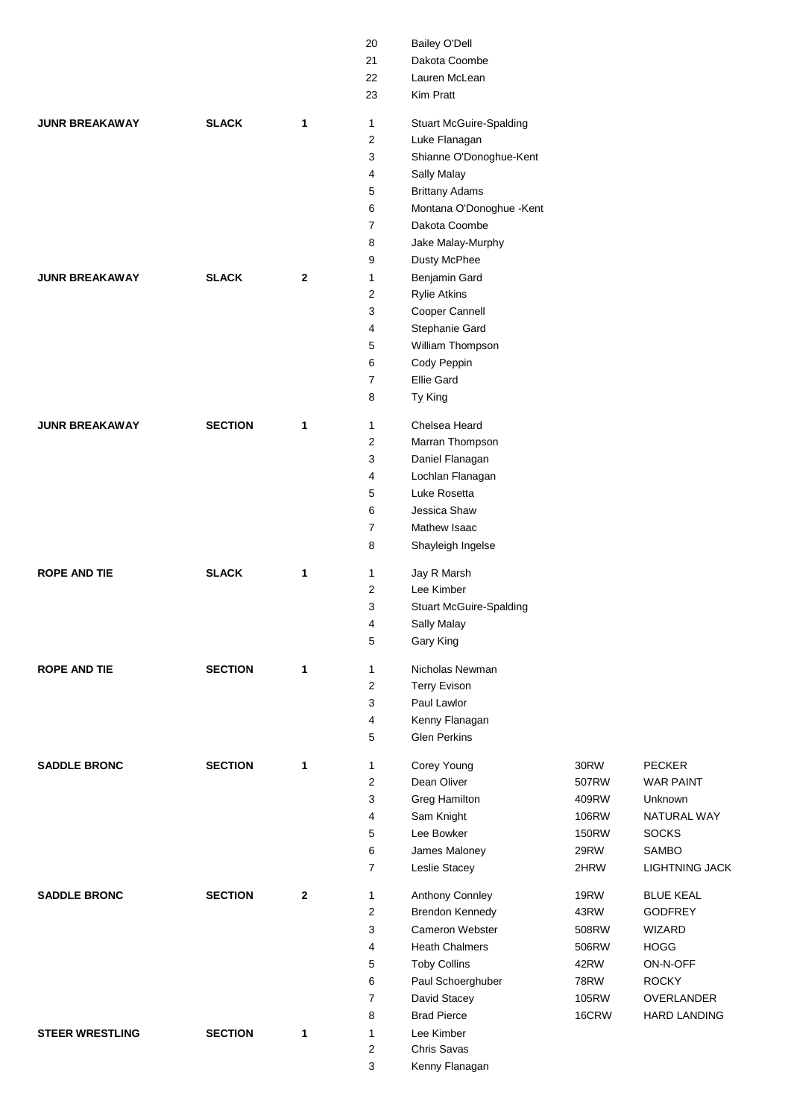|                        |                |              | 20                      | <b>Bailey O'Dell</b>           |              |                       |
|------------------------|----------------|--------------|-------------------------|--------------------------------|--------------|-----------------------|
|                        |                |              | 21                      | Dakota Coombe                  |              |                       |
|                        |                |              | 22                      | Lauren McLean                  |              |                       |
|                        |                |              | 23                      | Kim Pratt                      |              |                       |
| <b>JUNR BREAKAWAY</b>  | <b>SLACK</b>   | 1            | 1                       | <b>Stuart McGuire-Spalding</b> |              |                       |
|                        |                |              | $\overline{2}$          | Luke Flanagan                  |              |                       |
|                        |                |              | 3                       | Shianne O'Donoghue-Kent        |              |                       |
|                        |                |              |                         |                                |              |                       |
|                        |                |              | 4                       | Sally Malay                    |              |                       |
|                        |                |              | 5                       | <b>Brittany Adams</b>          |              |                       |
|                        |                |              | 6                       | Montana O'Donoghue -Kent       |              |                       |
|                        |                |              | $\overline{7}$          | Dakota Coombe                  |              |                       |
|                        |                |              | 8                       | Jake Malay-Murphy              |              |                       |
|                        |                |              | 9                       | Dusty McPhee                   |              |                       |
| <b>JUNR BREAKAWAY</b>  | <b>SLACK</b>   | $\mathbf{2}$ | 1                       | Benjamin Gard                  |              |                       |
|                        |                |              | 2                       | <b>Rylie Atkins</b>            |              |                       |
|                        |                |              | 3                       | Cooper Cannell                 |              |                       |
|                        |                |              | 4                       | Stephanie Gard                 |              |                       |
|                        |                |              | 5                       | William Thompson               |              |                       |
|                        |                |              | 6                       | Cody Peppin                    |              |                       |
|                        |                |              | $\overline{7}$          | <b>Ellie Gard</b>              |              |                       |
|                        |                |              | 8                       | Ty King                        |              |                       |
|                        |                |              |                         |                                |              |                       |
| <b>JUNR BREAKAWAY</b>  | <b>SECTION</b> | 1            | 1                       | Chelsea Heard                  |              |                       |
|                        |                |              | 2                       | Marran Thompson                |              |                       |
|                        |                |              | 3                       | Daniel Flanagan                |              |                       |
|                        |                |              | 4                       | Lochlan Flanagan               |              |                       |
|                        |                |              | 5                       | Luke Rosetta                   |              |                       |
|                        |                |              | 6                       | Jessica Shaw                   |              |                       |
|                        |                |              | 7                       | Mathew Isaac                   |              |                       |
|                        |                |              | 8                       | Shayleigh Ingelse              |              |                       |
| <b>ROPE AND TIE</b>    | <b>SLACK</b>   | 1            | 1                       | Jay R Marsh                    |              |                       |
|                        |                |              | 2                       | Lee Kimber                     |              |                       |
|                        |                |              | 3                       | <b>Stuart McGuire-Spalding</b> |              |                       |
|                        |                |              | 4                       | Sally Malay                    |              |                       |
|                        |                |              | 5                       | Gary King                      |              |                       |
|                        |                |              |                         |                                |              |                       |
| <b>ROPE AND TIE</b>    | <b>SECTION</b> | 1            | 1                       | Nicholas Newman                |              |                       |
|                        |                |              | $\overline{\mathbf{c}}$ | <b>Terry Evison</b>            |              |                       |
|                        |                |              | 3                       | Paul Lawlor                    |              |                       |
|                        |                |              | 4                       | Kenny Flanagan                 |              |                       |
|                        |                |              | 5                       | <b>Glen Perkins</b>            |              |                       |
| <b>SADDLE BRONC</b>    | <b>SECTION</b> | 1            | $\mathbf{1}$            | Corey Young                    | 30RW         | <b>PECKER</b>         |
|                        |                |              | 2                       | Dean Oliver                    | 507RW        | <b>WAR PAINT</b>      |
|                        |                |              | 3                       | <b>Greg Hamilton</b>           | 409RW        | Unknown               |
|                        |                |              | 4                       | Sam Knight                     | 106RW        | NATURAL WAY           |
|                        |                |              | 5                       | Lee Bowker                     | <b>150RW</b> | <b>SOCKS</b>          |
|                        |                |              | 6                       | James Maloney                  | 29RW         | SAMBO                 |
|                        |                |              | $\overline{7}$          | Leslie Stacey                  | 2HRW         | <b>LIGHTNING JACK</b> |
|                        |                |              |                         |                                |              |                       |
| <b>SADDLE BRONC</b>    | <b>SECTION</b> | $\mathbf{2}$ | 1                       | Anthony Connley                | <b>19RW</b>  | <b>BLUE KEAL</b>      |
|                        |                |              | $\overline{2}$          | Brendon Kennedy                | 43RW         | <b>GODFREY</b>        |
|                        |                |              | 3                       | <b>Cameron Webster</b>         | 508RW        | <b>WIZARD</b>         |
|                        |                |              | 4                       | <b>Heath Chalmers</b>          | 506RW        | <b>HOGG</b>           |
|                        |                |              | 5                       | <b>Toby Collins</b>            | 42RW         | ON-N-OFF              |
|                        |                |              | 6                       | Paul Schoerghuber              | <b>78RW</b>  | <b>ROCKY</b>          |
|                        |                |              | $\overline{7}$          | David Stacey                   | 105RW        | OVERLANDER            |
|                        |                |              | 8                       | <b>Brad Pierce</b>             | 16CRW        | <b>HARD LANDING</b>   |
| <b>STEER WRESTLING</b> | <b>SECTION</b> | 1            | 1                       | Lee Kimber                     |              |                       |
|                        |                |              | $\overline{2}$          | Chris Savas                    |              |                       |
|                        |                |              | 3                       | Kenny Flanagan                 |              |                       |
|                        |                |              |                         |                                |              |                       |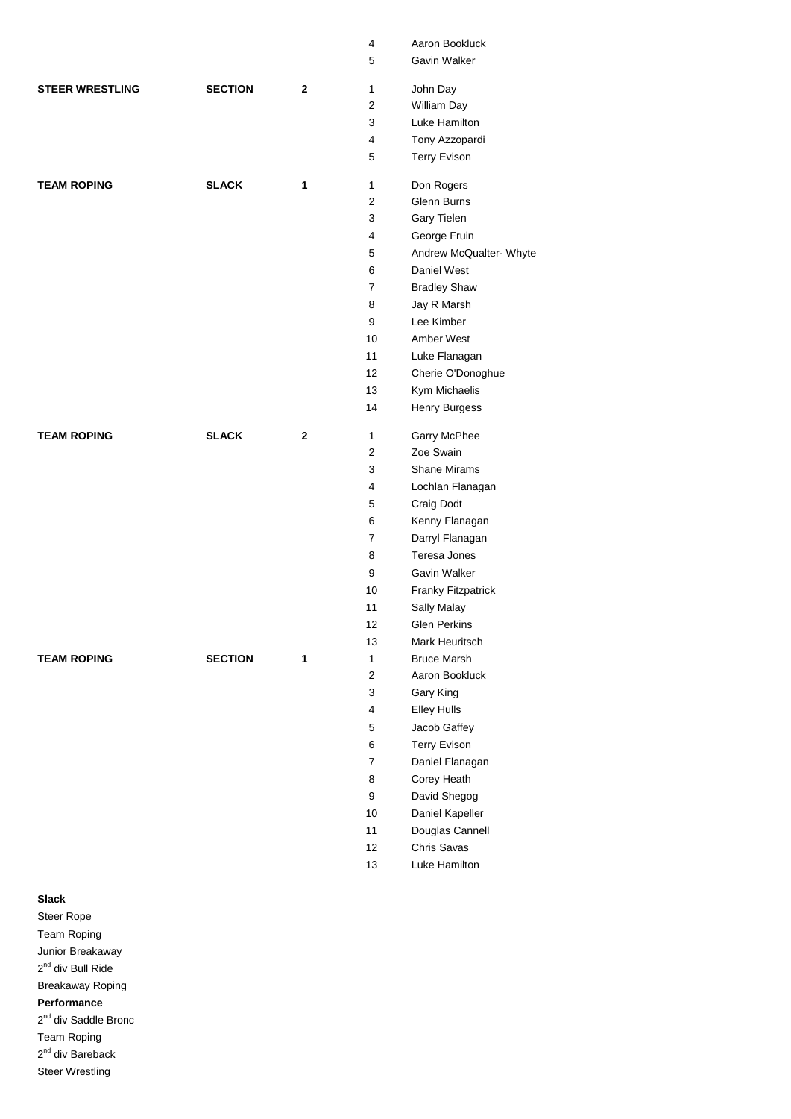|                        |                |              | 4              | Aaron Bookluck          |
|------------------------|----------------|--------------|----------------|-------------------------|
|                        |                |              | 5              | Gavin Walker            |
| <b>STEER WRESTLING</b> | <b>SECTION</b> | 2            | 1              | John Day                |
|                        |                |              | $\overline{2}$ | William Day             |
|                        |                |              | 3              | Luke Hamilton           |
|                        |                |              | 4              | Tony Azzopardi          |
|                        |                |              | 5              | <b>Terry Evison</b>     |
| <b>TEAM ROPING</b>     | <b>SLACK</b>   | 1            | 1              | Don Rogers              |
|                        |                |              | $\mathbf{2}$   | Glenn Burns             |
|                        |                |              | 3              | Gary Tielen             |
|                        |                |              | 4              | George Fruin            |
|                        |                |              | 5              | Andrew McQualter- Whyte |
|                        |                |              | 6              | Daniel West             |
|                        |                |              | $\overline{7}$ | <b>Bradley Shaw</b>     |
|                        |                |              | 8              | Jay R Marsh             |
|                        |                |              | 9              | Lee Kimber              |
|                        |                |              | 10             | Amber West              |
|                        |                |              | 11             | Luke Flanagan           |
|                        |                |              | 12             | Cherie O'Donoghue       |
|                        |                |              | 13             | Kym Michaelis           |
|                        |                |              | 14             | Henry Burgess           |
| <b>TEAM ROPING</b>     | <b>SLACK</b>   | $\mathbf{2}$ | 1              | Garry McPhee            |
|                        |                |              | $\overline{2}$ | Zoe Swain               |
|                        |                |              | 3              | <b>Shane Mirams</b>     |
|                        |                |              | 4              | Lochlan Flanagan        |
|                        |                |              | 5              | Craig Dodt              |
|                        |                |              | 6              | Kenny Flanagan          |
|                        |                |              | 7              | Darryl Flanagan         |
|                        |                |              | 8              | Teresa Jones            |
|                        |                |              | 9              | Gavin Walker            |
|                        |                |              | 10             | Franky Fitzpatrick      |
|                        |                |              | 11             | Sally Malay             |
|                        |                |              | 12             | <b>Glen Perkins</b>     |
|                        |                |              | 13             | Mark Heuritsch          |
| <b>TEAM ROPING</b>     | <b>SECTION</b> | 1            | 1              | <b>Bruce Marsh</b>      |
|                        |                |              | $\overline{2}$ | Aaron Bookluck          |
|                        |                |              | 3              | Gary King               |
|                        |                |              | $\overline{4}$ | <b>Elley Hulls</b>      |
|                        |                |              | 5              | Jacob Gaffey            |
|                        |                |              | 6              | <b>Terry Evison</b>     |
|                        |                |              | $\overline{7}$ | Daniel Flanagan         |
|                        |                |              | 8              | Corey Heath             |
|                        |                |              | 9              | David Shegog            |
|                        |                |              | 10             | Daniel Kapeller         |
|                        |                |              | 11             | Douglas Cannell         |
|                        |                |              | 12             | Chris Savas             |
|                        |                |              | 13             | Luke Hamilton           |
|                        |                |              |                |                         |

## **Slack**

Steer Rope Team Roping Junior Breakaway 2<sup>nd</sup> div Bull Ride Breakaway Roping **Performance**

2<sup>nd</sup> div Saddle Bronc

Team Roping 2<sup>nd</sup> div Bareback

Steer Wrestling